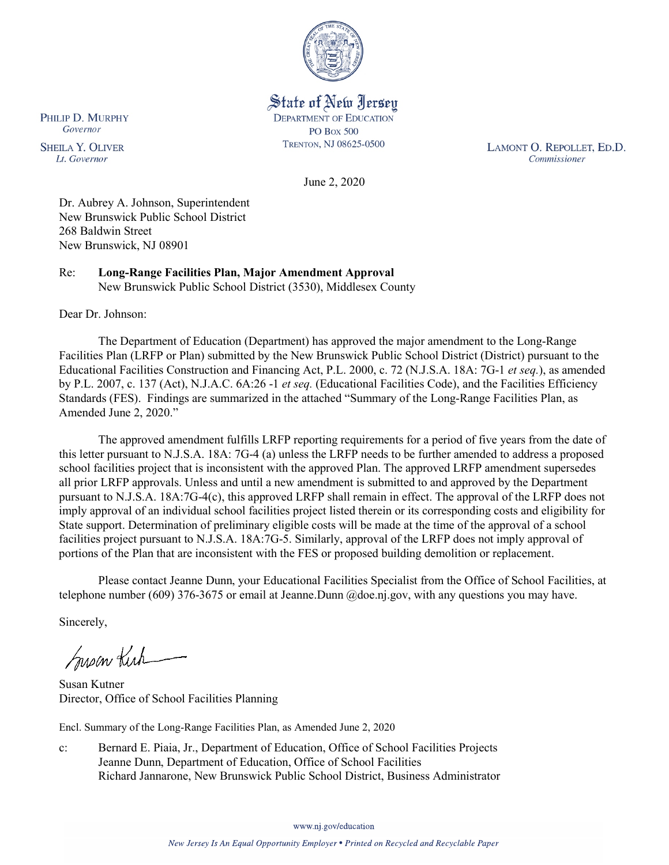

State of New Jersey **DEPARTMENT OF EDUCATION PO Box 500** TRENTON, NJ 08625-0500

LAMONT O. REPOLLET, ED.D. Commissioner

June 2, 2020

Dr. Aubrey A. Johnson, Superintendent New Brunswick Public School District 268 Baldwin Street New Brunswick, NJ 08901

Re: **Long-Range Facilities Plan, Major Amendment Approval** New Brunswick Public School District (3530), Middlesex County

Dear Dr. Johnson:

The Department of Education (Department) has approved the major amendment to the Long-Range Facilities Plan (LRFP or Plan) submitted by the New Brunswick Public School District (District) pursuant to the Educational Facilities Construction and Financing Act, P.L. 2000, c. 72 (N.J.S.A. 18A: 7G-1 *et seq.*), as amended by P.L. 2007, c. 137 (Act), N.J.A.C. 6A:26 -1 *et seq.* (Educational Facilities Code), and the Facilities Efficiency Standards (FES). Findings are summarized in the attached "Summary of the Long-Range Facilities Plan, as Amended June 2, 2020."

The approved amendment fulfills LRFP reporting requirements for a period of five years from the date of this letter pursuant to N.J.S.A. 18A: 7G-4 (a) unless the LRFP needs to be further amended to address a proposed school facilities project that is inconsistent with the approved Plan. The approved LRFP amendment supersedes all prior LRFP approvals. Unless and until a new amendment is submitted to and approved by the Department pursuant to N.J.S.A. 18A:7G-4(c), this approved LRFP shall remain in effect. The approval of the LRFP does not imply approval of an individual school facilities project listed therein or its corresponding costs and eligibility for State support. Determination of preliminary eligible costs will be made at the time of the approval of a school facilities project pursuant to N.J.S.A. 18A:7G-5. Similarly, approval of the LRFP does not imply approval of portions of the Plan that are inconsistent with the FES or proposed building demolition or replacement.

Please contact Jeanne Dunn, your Educational Facilities Specialist from the Office of School Facilities, at telephone number (609) 376-3675 or email at Jeanne.Dunn @doe.nj.gov, with any questions you may have.

Sincerely,

Susan Kich

Susan Kutner Director, Office of School Facilities Planning

Encl. Summary of the Long-Range Facilities Plan, as Amended June 2, 2020

c: Bernard E. Piaia, Jr., Department of Education, Office of School Facilities Projects Jeanne Dunn, Department of Education, Office of School Facilities Richard Jannarone, New Brunswick Public School District, Business Administrator

PHILIP D. MURPHY Governor

**SHEILA Y. OLIVER** Lt. Governor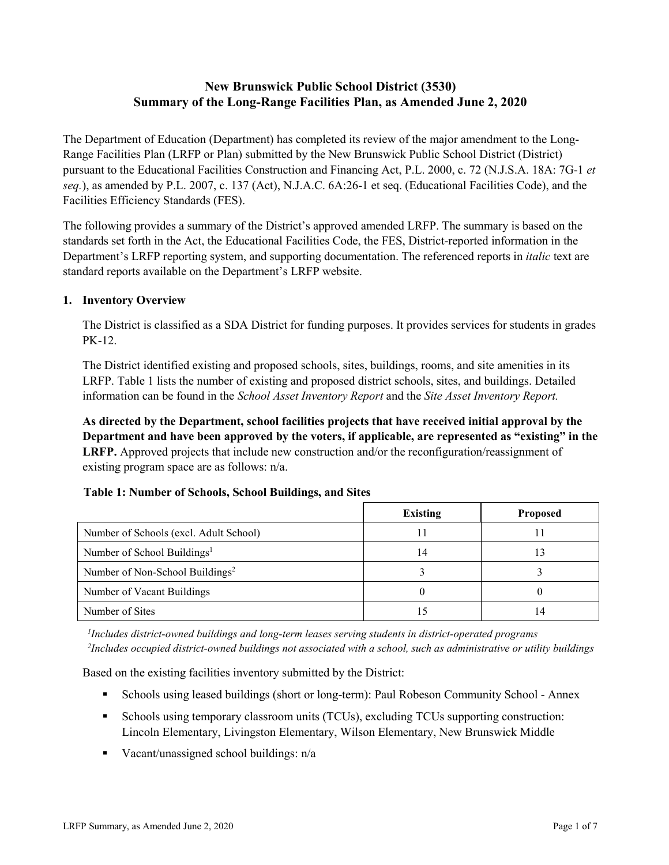# **New Brunswick Public School District (3530) Summary of the Long-Range Facilities Plan, as Amended June 2, 2020**

The Department of Education (Department) has completed its review of the major amendment to the Long-Range Facilities Plan (LRFP or Plan) submitted by the New Brunswick Public School District (District) pursuant to the Educational Facilities Construction and Financing Act, P.L. 2000, c. 72 (N.J.S.A. 18A: 7G-1 *et seq.*), as amended by P.L. 2007, c. 137 (Act), N.J.A.C. 6A:26-1 et seq. (Educational Facilities Code), and the Facilities Efficiency Standards (FES).

The following provides a summary of the District's approved amended LRFP. The summary is based on the standards set forth in the Act, the Educational Facilities Code, the FES, District-reported information in the Department's LRFP reporting system, and supporting documentation. The referenced reports in *italic* text are standard reports available on the Department's LRFP website.

### **1. Inventory Overview**

The District is classified as a SDA District for funding purposes. It provides services for students in grades PK-12.

The District identified existing and proposed schools, sites, buildings, rooms, and site amenities in its LRFP. Table 1 lists the number of existing and proposed district schools, sites, and buildings. Detailed information can be found in the *School Asset Inventory Report* and the *Site Asset Inventory Report.*

**As directed by the Department, school facilities projects that have received initial approval by the Department and have been approved by the voters, if applicable, are represented as "existing" in the LRFP.** Approved projects that include new construction and/or the reconfiguration/reassignment of existing program space are as follows: n/a.

|  | Table 1: Number of Schools, School Buildings, and Sites |
|--|---------------------------------------------------------|
|--|---------------------------------------------------------|

|                                             | Existing | <b>Proposed</b> |
|---------------------------------------------|----------|-----------------|
| Number of Schools (excl. Adult School)      |          |                 |
| Number of School Buildings <sup>1</sup>     | 14       | 13              |
| Number of Non-School Buildings <sup>2</sup> |          |                 |
| Number of Vacant Buildings                  |          |                 |
| Number of Sites                             |          | 14              |

*1 Includes district-owned buildings and long-term leases serving students in district-operated programs 2 Includes occupied district-owned buildings not associated with a school, such as administrative or utility buildings*

Based on the existing facilities inventory submitted by the District:

- Schools using leased buildings (short or long-term): Paul Robeson Community School Annex
- Schools using temporary classroom units (TCUs), excluding TCUs supporting construction: Lincoln Elementary, Livingston Elementary, Wilson Elementary, New Brunswick Middle
- Vacant/unassigned school buildings:  $n/a$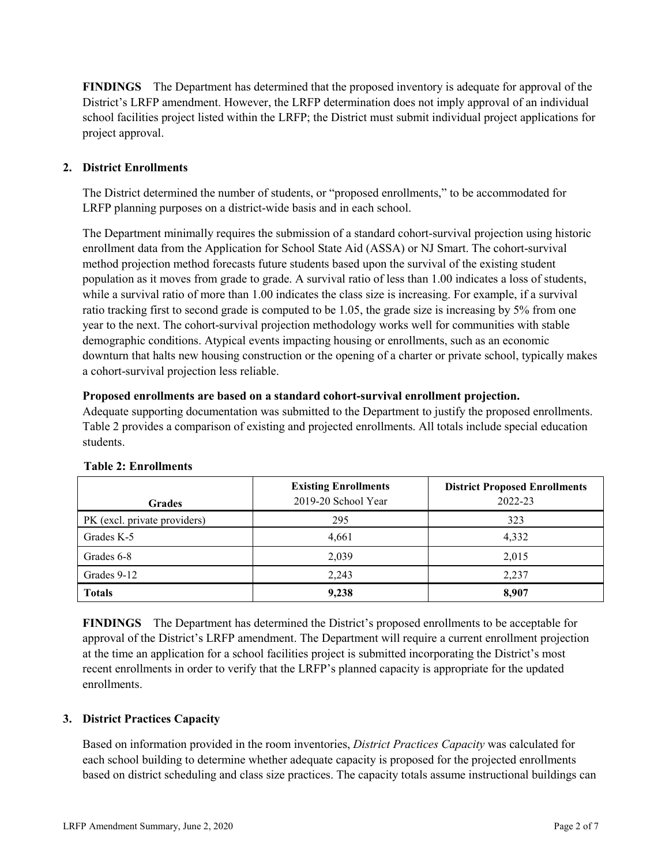**FINDINGS** The Department has determined that the proposed inventory is adequate for approval of the District's LRFP amendment. However, the LRFP determination does not imply approval of an individual school facilities project listed within the LRFP; the District must submit individual project applications for project approval.

# **2. District Enrollments**

The District determined the number of students, or "proposed enrollments," to be accommodated for LRFP planning purposes on a district-wide basis and in each school.

The Department minimally requires the submission of a standard cohort-survival projection using historic enrollment data from the Application for School State Aid (ASSA) or NJ Smart. The cohort-survival method projection method forecasts future students based upon the survival of the existing student population as it moves from grade to grade. A survival ratio of less than 1.00 indicates a loss of students, while a survival ratio of more than 1.00 indicates the class size is increasing. For example, if a survival ratio tracking first to second grade is computed to be 1.05, the grade size is increasing by 5% from one year to the next. The cohort-survival projection methodology works well for communities with stable demographic conditions. Atypical events impacting housing or enrollments, such as an economic downturn that halts new housing construction or the opening of a charter or private school, typically makes a cohort-survival projection less reliable.

#### **Proposed enrollments are based on a standard cohort-survival enrollment projection.**

Adequate supporting documentation was submitted to the Department to justify the proposed enrollments. Table 2 provides a comparison of existing and projected enrollments. All totals include special education students.

|                              | <b>Existing Enrollments</b> | <b>District Proposed Enrollments</b> |
|------------------------------|-----------------------------|--------------------------------------|
| <b>Grades</b>                | 2019-20 School Year         | 2022-23                              |
| PK (excl. private providers) | 295                         | 323                                  |
| Grades K-5                   | 4,661                       | 4,332                                |
| Grades 6-8                   | 2,039                       | 2,015                                |
| Grades 9-12                  | 2.243                       | 2,237                                |
| <b>Totals</b>                | 9,238                       | 8,907                                |

#### **Table 2: Enrollments**

**FINDINGS** The Department has determined the District's proposed enrollments to be acceptable for approval of the District's LRFP amendment. The Department will require a current enrollment projection at the time an application for a school facilities project is submitted incorporating the District's most recent enrollments in order to verify that the LRFP's planned capacity is appropriate for the updated enrollments.

# **3. District Practices Capacity**

Based on information provided in the room inventories, *District Practices Capacity* was calculated for each school building to determine whether adequate capacity is proposed for the projected enrollments based on district scheduling and class size practices. The capacity totals assume instructional buildings can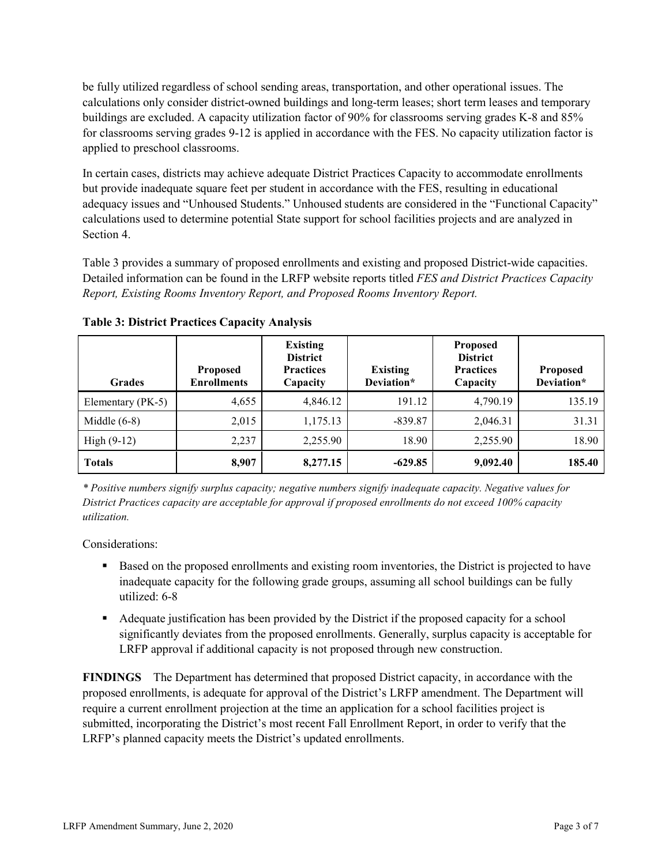be fully utilized regardless of school sending areas, transportation, and other operational issues. The calculations only consider district-owned buildings and long-term leases; short term leases and temporary buildings are excluded. A capacity utilization factor of 90% for classrooms serving grades K-8 and 85% for classrooms serving grades 9-12 is applied in accordance with the FES. No capacity utilization factor is applied to preschool classrooms.

In certain cases, districts may achieve adequate District Practices Capacity to accommodate enrollments but provide inadequate square feet per student in accordance with the FES, resulting in educational adequacy issues and "Unhoused Students." Unhoused students are considered in the "Functional Capacity" calculations used to determine potential State support for school facilities projects and are analyzed in Section 4.

Table 3 provides a summary of proposed enrollments and existing and proposed District-wide capacities. Detailed information can be found in the LRFP website reports titled *FES and District Practices Capacity Report, Existing Rooms Inventory Report, and Proposed Rooms Inventory Report.*

| <b>Grades</b>     | <b>Proposed</b><br><b>Enrollments</b> | <b>Existing</b><br><b>District</b><br><b>Practices</b><br>Capacity | <b>Existing</b><br>Deviation* | <b>Proposed</b><br><b>District</b><br><b>Practices</b><br>Capacity | <b>Proposed</b><br>Deviation* |
|-------------------|---------------------------------------|--------------------------------------------------------------------|-------------------------------|--------------------------------------------------------------------|-------------------------------|
| Elementary (PK-5) | 4,655                                 | 4,846.12                                                           | 191.12                        | 4,790.19                                                           | 135.19                        |
| Middle $(6-8)$    | 2,015                                 | 1,175.13                                                           | $-839.87$                     | 2,046.31                                                           | 31.31                         |
| High $(9-12)$     | 2,237                                 | 2,255.90                                                           | 18.90                         | 2,255.90                                                           | 18.90                         |
| <b>Totals</b>     | 8,907                                 | 8,277.15                                                           | $-629.85$                     | 9,092.40                                                           | 185.40                        |

**Table 3: District Practices Capacity Analysis**

*\* Positive numbers signify surplus capacity; negative numbers signify inadequate capacity. Negative values for District Practices capacity are acceptable for approval if proposed enrollments do not exceed 100% capacity utilization.*

Considerations:

- **Based on the proposed enrollments and existing room inventories, the District is projected to have** inadequate capacity for the following grade groups, assuming all school buildings can be fully utilized: 6-8
- Adequate justification has been provided by the District if the proposed capacity for a school significantly deviates from the proposed enrollments. Generally, surplus capacity is acceptable for LRFP approval if additional capacity is not proposed through new construction.

**FINDINGS**The Department has determined that proposed District capacity, in accordance with the proposed enrollments, is adequate for approval of the District's LRFP amendment. The Department will require a current enrollment projection at the time an application for a school facilities project is submitted, incorporating the District's most recent Fall Enrollment Report, in order to verify that the LRFP's planned capacity meets the District's updated enrollments.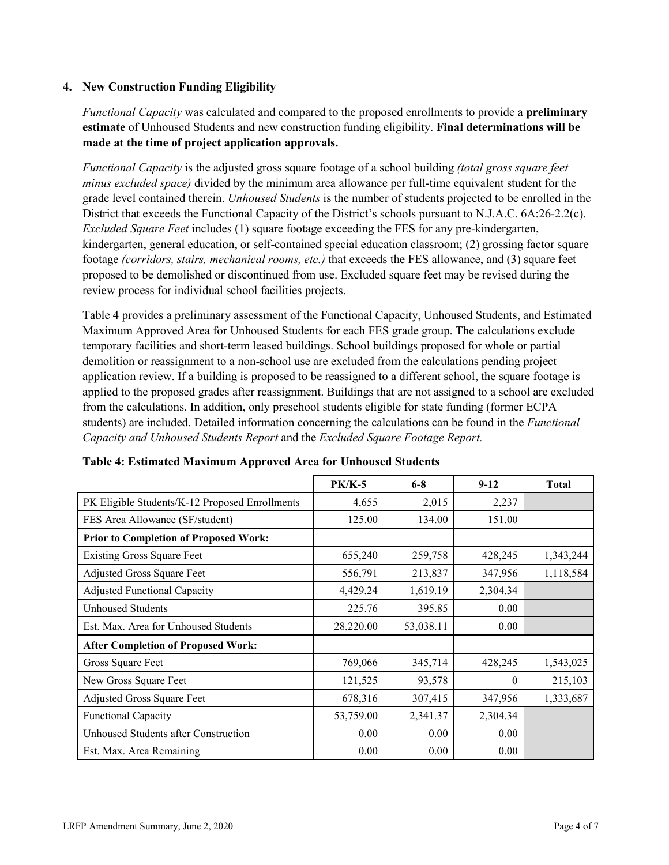### **4. New Construction Funding Eligibility**

*Functional Capacity* was calculated and compared to the proposed enrollments to provide a **preliminary estimate** of Unhoused Students and new construction funding eligibility. **Final determinations will be made at the time of project application approvals.**

*Functional Capacity* is the adjusted gross square footage of a school building *(total gross square feet minus excluded space)* divided by the minimum area allowance per full-time equivalent student for the grade level contained therein. *Unhoused Students* is the number of students projected to be enrolled in the District that exceeds the Functional Capacity of the District's schools pursuant to N.J.A.C. 6A:26-2.2(c). *Excluded Square Feet* includes (1) square footage exceeding the FES for any pre-kindergarten, kindergarten, general education, or self-contained special education classroom; (2) grossing factor square footage *(corridors, stairs, mechanical rooms, etc.)* that exceeds the FES allowance, and (3) square feet proposed to be demolished or discontinued from use. Excluded square feet may be revised during the review process for individual school facilities projects.

Table 4 provides a preliminary assessment of the Functional Capacity, Unhoused Students, and Estimated Maximum Approved Area for Unhoused Students for each FES grade group. The calculations exclude temporary facilities and short-term leased buildings. School buildings proposed for whole or partial demolition or reassignment to a non-school use are excluded from the calculations pending project application review. If a building is proposed to be reassigned to a different school, the square footage is applied to the proposed grades after reassignment. Buildings that are not assigned to a school are excluded from the calculations. In addition, only preschool students eligible for state funding (former ECPA students) are included. Detailed information concerning the calculations can be found in the *Functional Capacity and Unhoused Students Report* and the *Excluded Square Footage Report.*

|                                                | <b>PK/K-5</b> | $6 - 8$   | $9 - 12$ | <b>Total</b> |
|------------------------------------------------|---------------|-----------|----------|--------------|
| PK Eligible Students/K-12 Proposed Enrollments | 4,655         | 2,015     | 2,237    |              |
| FES Area Allowance (SF/student)                | 125.00        | 134.00    | 151.00   |              |
| <b>Prior to Completion of Proposed Work:</b>   |               |           |          |              |
| <b>Existing Gross Square Feet</b>              | 655,240       | 259,758   | 428,245  | 1,343,244    |
| Adjusted Gross Square Feet                     | 556,791       | 213,837   | 347,956  | 1,118,584    |
| <b>Adjusted Functional Capacity</b>            | 4,429.24      | 1,619.19  | 2,304.34 |              |
| Unhoused Students                              | 225.76        | 395.85    | 0.00     |              |
| Est. Max. Area for Unhoused Students           | 28,220.00     | 53,038.11 | 0.00     |              |
| <b>After Completion of Proposed Work:</b>      |               |           |          |              |
| Gross Square Feet                              | 769,066       | 345,714   | 428,245  | 1,543,025    |
| New Gross Square Feet                          | 121,525       | 93,578    | $\Omega$ | 215,103      |
| Adjusted Gross Square Feet                     | 678,316       | 307,415   | 347,956  | 1,333,687    |
| Functional Capacity                            | 53,759.00     | 2,341.37  | 2,304.34 |              |
| Unhoused Students after Construction           | 0.00          | 0.00      | 0.00     |              |
| Est. Max. Area Remaining                       | 0.00          | 0.00      | 0.00     |              |

| Table 4: Estimated Maximum Approved Area for Unhoused Students |  |  |
|----------------------------------------------------------------|--|--|
|----------------------------------------------------------------|--|--|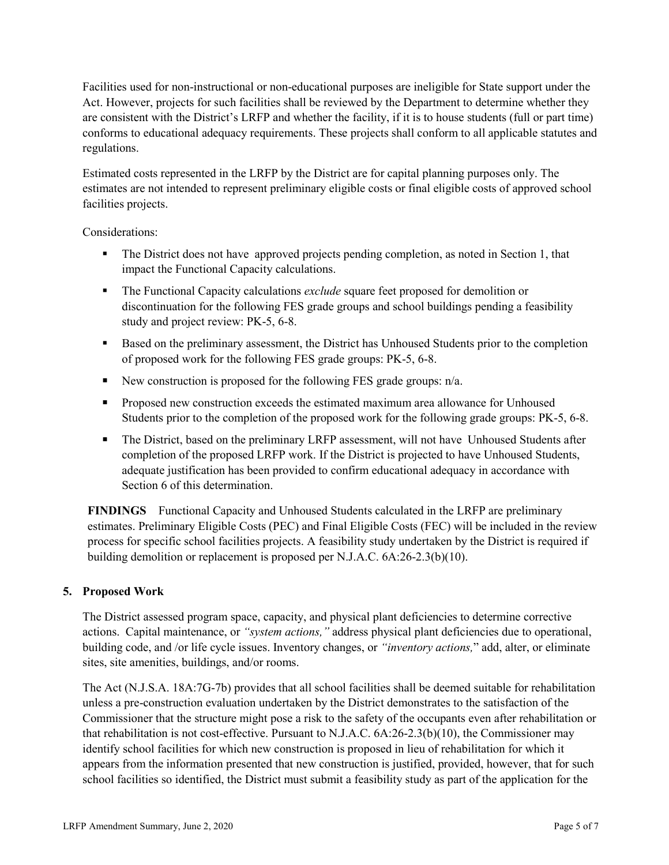Facilities used for non-instructional or non-educational purposes are ineligible for State support under the Act. However, projects for such facilities shall be reviewed by the Department to determine whether they are consistent with the District's LRFP and whether the facility, if it is to house students (full or part time) conforms to educational adequacy requirements. These projects shall conform to all applicable statutes and regulations.

Estimated costs represented in the LRFP by the District are for capital planning purposes only. The estimates are not intended to represent preliminary eligible costs or final eligible costs of approved school facilities projects.

Considerations:

- The District does not have approved projects pending completion, as noted in Section 1, that impact the Functional Capacity calculations.
- The Functional Capacity calculations *exclude* square feet proposed for demolition or discontinuation for the following FES grade groups and school buildings pending a feasibility study and project review: PK-5, 6-8.
- Based on the preliminary assessment, the District has Unhoused Students prior to the completion of proposed work for the following FES grade groups: PK-5, 6-8.
- New construction is proposed for the following FES grade groups:  $n/a$ .
- **Proposed new construction exceeds the estimated maximum area allowance for Unhoused** Students prior to the completion of the proposed work for the following grade groups: PK-5, 6-8.
- The District, based on the preliminary LRFP assessment, will not have Unhoused Students after completion of the proposed LRFP work. If the District is projected to have Unhoused Students, adequate justification has been provided to confirm educational adequacy in accordance with Section 6 of this determination.

**FINDINGS** Functional Capacity and Unhoused Students calculated in the LRFP are preliminary estimates. Preliminary Eligible Costs (PEC) and Final Eligible Costs (FEC) will be included in the review process for specific school facilities projects. A feasibility study undertaken by the District is required if building demolition or replacement is proposed per N.J.A.C. 6A:26-2.3(b)(10).

# **5. Proposed Work**

The District assessed program space, capacity, and physical plant deficiencies to determine corrective actions. Capital maintenance, or *"system actions,"* address physical plant deficiencies due to operational, building code, and /or life cycle issues. Inventory changes, or *"inventory actions,*" add, alter, or eliminate sites, site amenities, buildings, and/or rooms.

The Act (N.J.S.A. 18A:7G-7b) provides that all school facilities shall be deemed suitable for rehabilitation unless a pre-construction evaluation undertaken by the District demonstrates to the satisfaction of the Commissioner that the structure might pose a risk to the safety of the occupants even after rehabilitation or that rehabilitation is not cost-effective. Pursuant to N.J.A.C. 6A:26-2.3(b)(10), the Commissioner may identify school facilities for which new construction is proposed in lieu of rehabilitation for which it appears from the information presented that new construction is justified, provided, however, that for such school facilities so identified, the District must submit a feasibility study as part of the application for the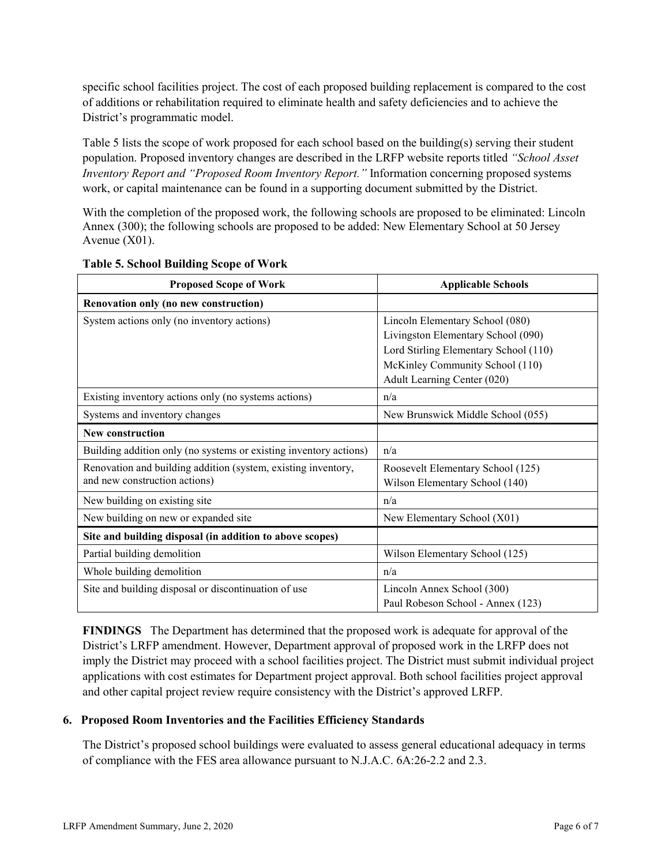specific school facilities project. The cost of each proposed building replacement is compared to the cost of additions or rehabilitation required to eliminate health and safety deficiencies and to achieve the District's programmatic model.

Table 5 lists the scope of work proposed for each school based on the building(s) serving their student population. Proposed inventory changes are described in the LRFP website reports titled *"School Asset Inventory Report and "Proposed Room Inventory Report."* Information concerning proposed systems work, or capital maintenance can be found in a supporting document submitted by the District.

With the completion of the proposed work, the following schools are proposed to be eliminated: Lincoln Annex (300); the following schools are proposed to be added: New Elementary School at 50 Jersey Avenue (X01).

| <b>Proposed Scope of Work</b>                                     | <b>Applicable Schools</b>             |
|-------------------------------------------------------------------|---------------------------------------|
| Renovation only (no new construction)                             |                                       |
| System actions only (no inventory actions)                        | Lincoln Elementary School (080)       |
|                                                                   | Livingston Elementary School (090)    |
|                                                                   | Lord Stirling Elementary School (110) |
|                                                                   | McKinley Community School (110)       |
|                                                                   | Adult Learning Center (020)           |
| Existing inventory actions only (no systems actions)              | n/a                                   |
| Systems and inventory changes                                     | New Brunswick Middle School (055)     |
| New construction                                                  |                                       |
| Building addition only (no systems or existing inventory actions) | n/a                                   |
| Renovation and building addition (system, existing inventory,     | Roosevelt Elementary School (125)     |
| and new construction actions)                                     | Wilson Elementary School (140)        |
| New building on existing site                                     | n/a                                   |
| New building on new or expanded site                              | New Elementary School (X01)           |
| Site and building disposal (in addition to above scopes)          |                                       |
| Partial building demolition                                       | Wilson Elementary School (125)        |
| Whole building demolition                                         | n/a                                   |
| Site and building disposal or discontinuation of use              | Lincoln Annex School (300)            |
|                                                                   | Paul Robeson School - Annex (123)     |

# **Table 5. School Building Scope of Work**

**FINDINGS** The Department has determined that the proposed work is adequate for approval of the District's LRFP amendment. However, Department approval of proposed work in the LRFP does not imply the District may proceed with a school facilities project. The District must submit individual project applications with cost estimates for Department project approval. Both school facilities project approval and other capital project review require consistency with the District's approved LRFP.

# **6. Proposed Room Inventories and the Facilities Efficiency Standards**

The District's proposed school buildings were evaluated to assess general educational adequacy in terms of compliance with the FES area allowance pursuant to N.J.A.C. 6A:26-2.2 and 2.3.